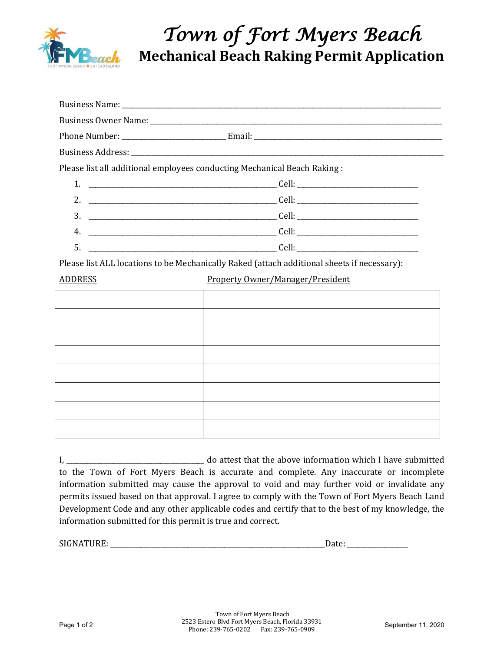

## *Town of Fort Myers Beach*  **Mechanical Beach Raking Permit Application**

|                | Please list all additional employees conducting Mechanical Beach Raking:                    |
|----------------|---------------------------------------------------------------------------------------------|
|                |                                                                                             |
|                |                                                                                             |
|                |                                                                                             |
| 4.             |                                                                                             |
| 5.             |                                                                                             |
|                | Please list ALL locations to be Mechanically Raked (attach additional sheets if necessary): |
| <u>ADDRESS</u> | <b>Property Owner/Manager/President</b>                                                     |
|                |                                                                                             |
|                |                                                                                             |
|                |                                                                                             |
|                |                                                                                             |
|                |                                                                                             |
|                |                                                                                             |
|                |                                                                                             |
|                |                                                                                             |

| do attest that the above information which I have submitted                                       |  |
|---------------------------------------------------------------------------------------------------|--|
| to the Town of Fort Myers Beach is accurate and complete. Any inaccurate or incomplete            |  |
| information submitted may cause the approval to void and may further void or invalidate any       |  |
| permits issued based on that approval. I agree to comply with the Town of Fort Myers Beach Land   |  |
| Development Code and any other applicable codes and certify that to the best of my knowledge, the |  |
| information submitted for this permit is true and correct.                                        |  |

SIGNATURE: \_\_\_\_\_\_\_\_\_\_\_\_\_\_\_\_\_\_\_\_\_\_\_\_\_\_\_\_\_\_\_\_\_\_\_\_\_\_\_\_\_\_\_\_\_\_\_\_\_\_\_\_\_\_\_\_\_\_\_\_\_\_\_\_Date: \_\_\_\_\_\_\_\_\_\_\_\_\_\_\_\_\_\_